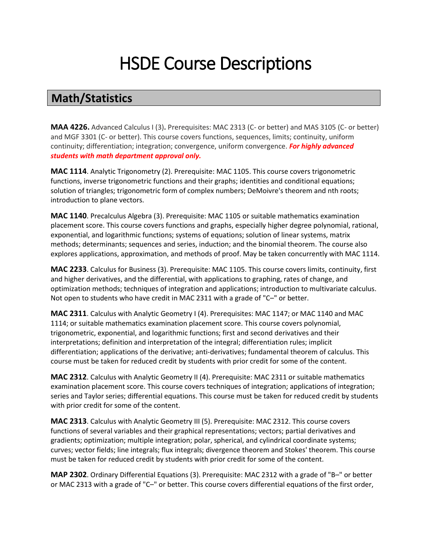# HSDE Course Descriptions

### **Math/Statistics**

**MAA 4226.** Advanced Calculus I (3)**.** Prerequisites: MAC 2313 (C- or better) and MAS 3105 (C- or better) and MGF 3301 (C- or better). This course covers functions, sequences, limits; continuity, uniform continuity; differentiation; integration; convergence, uniform convergence. *For highly advanced students with math department approval only.*

**MAC 1114**. Analytic Trigonometry (2). Prerequisite: MAC 1105. This course covers trigonometric functions, inverse trigonometric functions and their graphs; identities and conditional equations; solution of triangles; trigonometric form of complex numbers; DeMoivre's theorem and nth roots; introduction to plane vectors.

**MAC 1140**. Precalculus Algebra (3). Prerequisite: MAC 1105 or suitable mathematics examination placement score. This course covers functions and graphs, especially higher degree polynomial, rational, exponential, and logarithmic functions; systems of equations; solution of linear systems, matrix methods; determinants; sequences and series, induction; and the binomial theorem. The course also explores applications, approximation, and methods of proof. May be taken concurrently with MAC 1114.

**MAC 2233**. Calculus for Business (3). Prerequisite: MAC 1105. This course covers limits, continuity, first and higher derivatives, and the differential, with applications to graphing, rates of change, and optimization methods; techniques of integration and applications; introduction to multivariate calculus. Not open to students who have credit in MAC 2311 with a grade of "C–" or better.

**MAC 2311**. Calculus with Analytic Geometry I (4). Prerequisites: MAC 1147; or MAC 1140 and MAC 1114; or suitable mathematics examination placement score. This course covers polynomial, trigonometric, exponential, and logarithmic functions; first and second derivatives and their interpretations; definition and interpretation of the integral; differentiation rules; implicit differentiation; applications of the derivative; anti-derivatives; fundamental theorem of calculus. This course must be taken for reduced credit by students with prior credit for some of the content.

**MAC 2312**. Calculus with Analytic Geometry II (4). Prerequisite: MAC 2311 or suitable mathematics examination placement score. This course covers techniques of integration; applications of integration; series and Taylor series; differential equations. This course must be taken for reduced credit by students with prior credit for some of the content.

**MAC 2313**. Calculus with Analytic Geometry III (5). Prerequisite: MAC 2312. This course covers functions of several variables and their graphical representations; vectors; partial derivatives and gradients; optimization; multiple integration; polar, spherical, and cylindrical coordinate systems; curves; vector fields; line integrals; flux integrals; divergence theorem and Stokes' theorem. This course must be taken for reduced credit by students with prior credit for some of the content.

**MAP 2302**. Ordinary Differential Equations (3). Prerequisite: MAC 2312 with a grade of "B–" or better or MAC 2313 with a grade of "C–" or better. This course covers differential equations of the first order,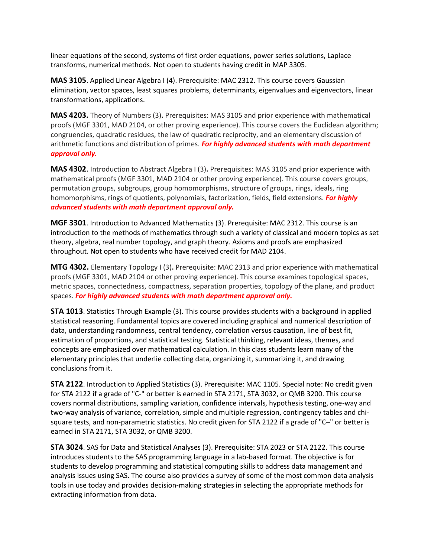linear equations of the second, systems of first order equations, power series solutions, Laplace transforms, numerical methods. Not open to students having credit in MAP 3305.

**MAS 3105**. Applied Linear Algebra I (4). Prerequisite: MAC 2312. This course covers Gaussian elimination, vector spaces, least squares problems, determinants, eigenvalues and eigenvectors, linear transformations, applications.

**MAS 4203.** Theory of Numbers (3)**.** Prerequisites: MAS 3105 and prior experience with mathematical proofs (MGF 3301, MAD 2104, or other proving experience). This course covers the Euclidean algorithm; congruencies, quadratic residues, the law of quadratic reciprocity, and an elementary discussion of arithmetic functions and distribution of primes. *For highly advanced students with math department approval only.*

**MAS 4302**. Introduction to Abstract Algebra I (3)**.** Prerequisites: MAS 3105 and prior experience with mathematical proofs (MGF 3301, MAD 2104 or other proving experience). This course covers groups, permutation groups, subgroups, group homomorphisms, structure of groups, rings, ideals, ring homomorphisms, rings of quotients, polynomials, factorization, fields, field extensions. *For highly advanced students with math department approval only.*

**MGF 3301**. Introduction to Advanced Mathematics (3). Prerequisite: MAC 2312. This course is an introduction to the methods of mathematics through such a variety of classical and modern topics as set theory, algebra, real number topology, and graph theory. Axioms and proofs are emphasized throughout. Not open to students who have received credit for MAD 2104.

**MTG 4302.** Elementary Topology I (3)**.** Prerequisite: MAC 2313 and prior experience with mathematical proofs (MGF 3301, MAD 2104 or other proving experience). This course examines topological spaces, metric spaces, connectedness, compactness, separation properties, topology of the plane, and product spaces. *For highly advanced students with math department approval only.*

**STA 1013**. Statistics Through Example (3). This course provides students with a background in applied statistical reasoning. Fundamental topics are covered including graphical and numerical description of data, understanding randomness, central tendency, correlation versus causation, line of best fit, estimation of proportions, and statistical testing. Statistical thinking, relevant ideas, themes, and concepts are emphasized over mathematical calculation. In this class students learn many of the elementary principles that underlie collecting data, organizing it, summarizing it, and drawing conclusions from it.

**STA 2122**. Introduction to Applied Statistics (3). Prerequisite: MAC 1105. Special note: No credit given for STA 2122 if a grade of "C-" or better is earned in STA 2171, STA 3032, or QMB 3200. This course covers normal distributions, sampling variation, confidence intervals, hypothesis testing, one-way and two-way analysis of variance, correlation, simple and multiple regression, contingency tables and chisquare tests, and non-parametric statistics. No credit given for STA 2122 if a grade of "C–" or better is earned in STA 2171, STA 3032, or QMB 3200.

**STA 3024**. SAS for Data and Statistical Analyses (3). Prerequisite: STA 2023 or STA 2122. This course introduces students to the SAS programming language in a lab-based format. The objective is for students to develop programming and statistical computing skills to address data management and analysis issues using SAS. The course also provides a survey of some of the most common data analysis tools in use today and provides decision-making strategies in selecting the appropriate methods for extracting information from data.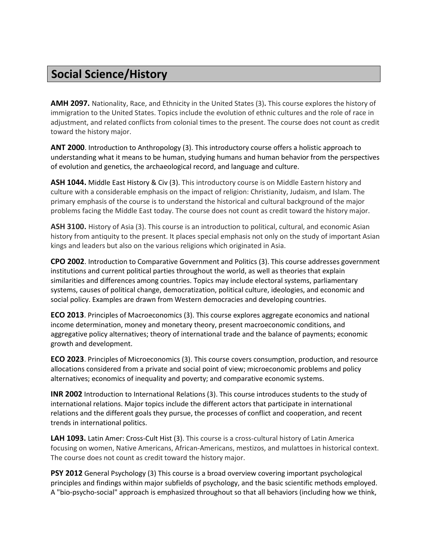# **Social Science/History**

**AMH 2097.** Nationality, Race, and Ethnicity in the United States (3)**.** This course explores the history of immigration to the United States. Topics include the evolution of ethnic cultures and the role of race in adjustment, and related conflicts from colonial times to the present. The course does not count as credit toward the history major.

**ANT 2000**. Introduction to Anthropology (3). This introductory course offers a holistic approach to understanding what it means to be human, studying humans and human behavior from the perspectives of evolution and genetics, the archaeological record, and language and culture.

**ASH 1044.** Middle East History & Civ (3). This introductory course is on Middle Eastern history and culture with a considerable emphasis on the impact of religion: Christianity, Judaism, and Islam. The primary emphasis of the course is to understand the historical and cultural background of the major problems facing the Middle East today. The course does not count as credit toward the history major.

**ASH 3100.** History of Asia (3). This course is an introduction to political, cultural, and economic Asian history from antiquity to the present. It places special emphasis not only on the study of important Asian kings and leaders but also on the various religions which originated in Asia.

**CPO 2002**. Introduction to Comparative Government and Politics (3). This course addresses government institutions and current political parties throughout the world, as well as theories that explain similarities and differences among countries. Topics may include electoral systems, parliamentary systems, causes of political change, democratization, political culture, ideologies, and economic and social policy. Examples are drawn from Western democracies and developing countries.

**ECO 2013**. Principles of Macroeconomics (3). This course explores aggregate economics and national income determination, money and monetary theory, present macroeconomic conditions, and aggregative policy alternatives; theory of international trade and the balance of payments; economic growth and development.

**ECO 2023**. Principles of Microeconomics (3). This course covers consumption, production, and resource allocations considered from a private and social point of view; microeconomic problems and policy alternatives; economics of inequality and poverty; and comparative economic systems.

**INR 2002** Introduction to International Relations (3). This course introduces students to the study of international relations. Major topics include the different actors that participate in international relations and the different goals they pursue, the processes of conflict and cooperation, and recent trends in international politics.

**LAH 1093.** Latin Amer: Cross-Cult Hist (3). This course is a cross-cultural history of Latin America focusing on women, Native Americans, African-Americans, mestizos, and mulattoes in historical context. The course does not count as credit toward the history major.

**PSY 2012** General Psychology (3) This course is a broad overview covering important psychological principles and findings within major subfields of psychology, and the basic scientific methods employed. A "bio-psycho-social" approach is emphasized throughout so that all behaviors (including how we think,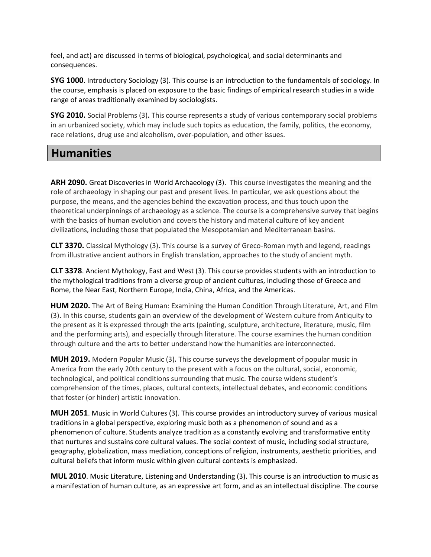feel, and act) are discussed in terms of biological, psychological, and social determinants and consequences.

**SYG 1000**. Introductory Sociology (3). This course is an introduction to the fundamentals of sociology. In the course, emphasis is placed on exposure to the basic findings of empirical research studies in a wide range of areas traditionally examined by sociologists.

**SYG 2010.** Social Problems (3)**.** This course represents a study of various contemporary social problems in an urbanized society, which may include such topics as education, the family, politics, the economy, race relations, drug use and alcoholism, over-population, and other issues.

#### **Humanities**

**ARH 2090.** Great Discoveries in World Archaeology (3). This course investigates the meaning and the role of archaeology in shaping our past and present lives. In particular, we ask questions about the purpose, the means, and the agencies behind the excavation process, and thus touch upon the theoretical underpinnings of archaeology as a science. The course is a comprehensive survey that begins with the basics of human evolution and covers the history and material culture of key ancient civilizations, including those that populated the Mesopotamian and Mediterranean basins.

**CLT 3370.** Classical Mythology (3)**.** This course is a survey of Greco-Roman myth and legend, readings from illustrative ancient authors in English translation, approaches to the study of ancient myth.

**CLT 3378**. Ancient Mythology, East and West (3). This course provides students with an introduction to the mythological traditions from a diverse group of ancient cultures, including those of Greece and Rome, the Near East, Northern Europe, India, China, Africa, and the Americas.

**HUM 2020.** The Art of Being Human: Examining the Human Condition Through Literature, Art, and Film (3)**.** In this course, students gain an overview of the development of Western culture from Antiquity to the present as it is expressed through the arts (painting, sculpture, architecture, literature, music, film and the performing arts), and especially through literature. The course examines the human condition through culture and the arts to better understand how the humanities are interconnected.

**MUH 2019.** Modern Popular Music (3)**.** This course surveys the development of popular music in America from the early 20th century to the present with a focus on the cultural, social, economic, technological, and political conditions surrounding that music. The course widens student's comprehension of the times, places, cultural contexts, intellectual debates, and economic conditions that foster (or hinder) artistic innovation.

**MUH 2051**. Music in World Cultures (3). This course provides an introductory survey of various musical traditions in a global perspective, exploring music both as a phenomenon of sound and as a phenomenon of culture. Students analyze tradition as a constantly evolving and transformative entity that nurtures and sustains core cultural values. The social context of music, including social structure, geography, globalization, mass mediation, conceptions of religion, instruments, aesthetic priorities, and cultural beliefs that inform music within given cultural contexts is emphasized.

**MUL 2010**. Music Literature, Listening and Understanding (3). This course is an introduction to music as a manifestation of human culture, as an expressive art form, and as an intellectual discipline. The course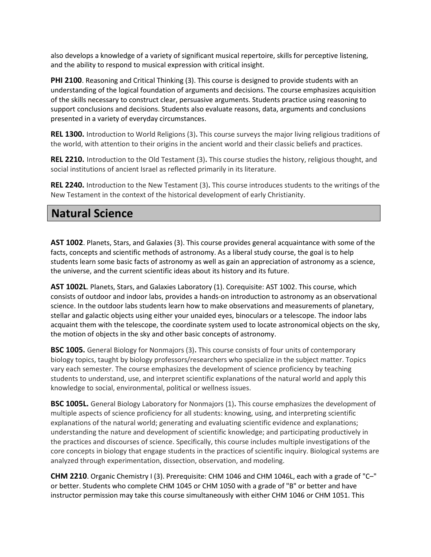also develops a knowledge of a variety of significant musical repertoire, skills for perceptive listening, and the ability to respond to musical expression with critical insight.

**PHI 2100**. Reasoning and Critical Thinking (3). This course is designed to provide students with an understanding of the logical foundation of arguments and decisions. The course emphasizes acquisition of the skills necessary to construct clear, persuasive arguments. Students practice using reasoning to support conclusions and decisions. Students also evaluate reasons, data, arguments and conclusions presented in a variety of everyday circumstances.

**REL 1300.** Introduction to World Religions (3)**.** This course surveys the major living religious traditions of the world, with attention to their origins in the ancient world and their classic beliefs and practices.

**REL 2210.** Introduction to the Old Testament (3)**.** This course studies the history, religious thought, and social institutions of ancient Israel as reflected primarily in its literature.

**REL 2240.** Introduction to the New Testament (3)**.** This course introduces students to the writings of the New Testament in the context of the historical development of early Christianity.

#### **Natural Science**

**AST 1002**. Planets, Stars, and Galaxies (3). This course provides general acquaintance with some of the facts, concepts and scientific methods of astronomy. As a liberal study course, the goal is to help students learn some basic facts of astronomy as well as gain an appreciation of astronomy as a science, the universe, and the current scientific ideas about its history and its future.

**AST 1002L**. Planets, Stars, and Galaxies Laboratory (1). Corequisite: AST 1002. This course, which consists of outdoor and indoor labs, provides a hands-on introduction to astronomy as an observational science. In the outdoor labs students learn how to make observations and measurements of planetary, stellar and galactic objects using either your unaided eyes, binoculars or a telescope. The indoor labs acquaint them with the telescope, the coordinate system used to locate astronomical objects on the sky, the motion of objects in the sky and other basic concepts of astronomy.

**BSC 1005.** General Biology for Nonmajors (3)**.** This course consists of four units of contemporary biology topics, taught by biology professors/researchers who specialize in the subject matter. Topics vary each semester. The course emphasizes the development of science proficiency by teaching students to understand, use, and interpret scientific explanations of the natural world and apply this knowledge to social, environmental, political or wellness issues.

**BSC 1005L.** General Biology Laboratory for Nonmajors (1)**.** This course emphasizes the development of multiple aspects of science proficiency for all students: knowing, using, and interpreting scientific explanations of the natural world; generating and evaluating scientific evidence and explanations; understanding the nature and development of scientific knowledge; and participating productively in the practices and discourses of science. Specifically, this course includes multiple investigations of the core concepts in biology that engage students in the practices of scientific inquiry. Biological systems are analyzed through experimentation, dissection, observation, and modeling.

**CHM 2210**. Organic Chemistry I (3). Prerequisite: CHM 1046 and CHM 1046L, each with a grade of "C–" or better. Students who complete CHM 1045 or CHM 1050 with a grade of "B" or better and have instructor permission may take this course simultaneously with either CHM 1046 or CHM 1051. This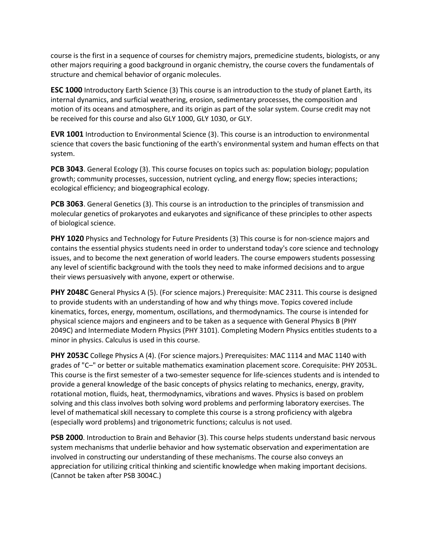course is the first in a sequence of courses for chemistry majors, premedicine students, biologists, or any other majors requiring a good background in organic chemistry, the course covers the fundamentals of structure and chemical behavior of organic molecules.

**ESC 1000** Introductory Earth Science (3) This course is an introduction to the study of planet Earth, its internal dynamics, and surficial weathering, erosion, sedimentary processes, the composition and motion of its oceans and atmosphere, and its origin as part of the solar system. Course credit may not be received for this course and also GLY 1000, GLY 1030, or GLY.

**EVR 1001** Introduction to Environmental Science (3). This course is an introduction to environmental science that covers the basic functioning of the earth's environmental system and human effects on that system.

**PCB 3043**. General Ecology (3). This course focuses on topics such as: population biology; population growth; community processes, succession, nutrient cycling, and energy flow; species interactions; ecological efficiency; and biogeographical ecology.

**PCB 3063**. General Genetics (3). This course is an introduction to the principles of transmission and molecular genetics of prokaryotes and eukaryotes and significance of these principles to other aspects of biological science.

**PHY 1020** Physics and Technology for Future Presidents (3) This course is for non-science majors and contains the essential physics students need in order to understand today's core science and technology issues, and to become the next generation of world leaders. The course empowers students possessing any level of scientific background with the tools they need to make informed decisions and to argue their views persuasively with anyone, expert or otherwise.

**PHY 2048C** General Physics A (5). (For science majors.) Prerequisite: MAC 2311. This course is designed to provide students with an understanding of how and why things move. Topics covered include kinematics, forces, energy, momentum, oscillations, and thermodynamics. The course is intended for physical science majors and engineers and to be taken as a sequence with General Physics B (PHY 2049C) and Intermediate Modern Physics (PHY 3101). Completing Modern Physics entitles students to a minor in physics. Calculus is used in this course.

**PHY 2053C** College Physics A (4). (For science majors.) Prerequisites: MAC 1114 and MAC 1140 with grades of "C–" or better or suitable mathematics examination placement score. Corequisite: PHY 2053L. This course is the first semester of a two-semester sequence for life-sciences students and is intended to provide a general knowledge of the basic concepts of physics relating to mechanics, energy, gravity, rotational motion, fluids, heat, thermodynamics, vibrations and waves. Physics is based on problem solving and this class involves both solving word problems and performing laboratory exercises. The level of mathematical skill necessary to complete this course is a strong proficiency with algebra (especially word problems) and trigonometric functions; calculus is not used.

**PSB 2000**. Introduction to Brain and Behavior (3). This course helps students understand basic nervous system mechanisms that underlie behavior and how systematic observation and experimentation are involved in constructing our understanding of these mechanisms. The course also conveys an appreciation for utilizing critical thinking and scientific knowledge when making important decisions. (Cannot be taken after PSB 3004C.)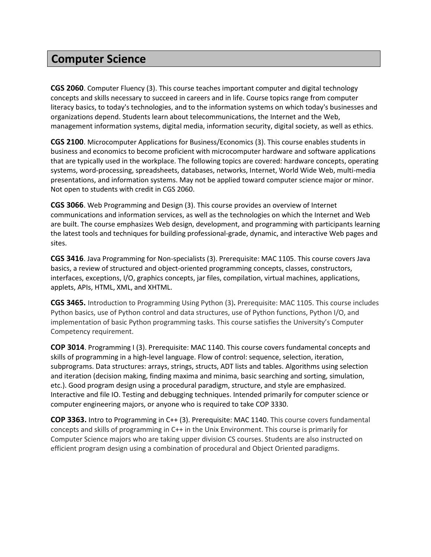#### **Computer Science**

**CGS 2060**. Computer Fluency (3). This course teaches important computer and digital technology concepts and skills necessary to succeed in careers and in life. Course topics range from computer literacy basics, to today's technologies, and to the information systems on which today's businesses and organizations depend. Students learn about telecommunications, the Internet and the Web, management information systems, digital media, information security, digital society, as well as ethics.

**CGS 2100**. Microcomputer Applications for Business/Economics (3). This course enables students in business and economics to become proficient with microcomputer hardware and software applications that are typically used in the workplace. The following topics are covered: hardware concepts, operating systems, word-processing, spreadsheets, databases, networks, Internet, World Wide Web, multi-media presentations, and information systems. May not be applied toward computer science major or minor. Not open to students with credit in CGS 2060.

**CGS 3066**. Web Programming and Design (3). This course provides an overview of Internet communications and information services, as well as the technologies on which the Internet and Web are built. The course emphasizes Web design, development, and programming with participants learning the latest tools and techniques for building professional-grade, dynamic, and interactive Web pages and sites.

**CGS 3416**. Java Programming for Non-specialists (3). Prerequisite: MAC 1105. This course covers Java basics, a review of structured and object-oriented programming concepts, classes, constructors, interfaces, exceptions, I/O, graphics concepts, jar files, compilation, virtual machines, applications, applets, APIs, HTML, XML, and XHTML.

**CGS 3465.** Introduction to Programming Using Python (3)**.** Prerequisite: MAC 1105. This course includes Python basics, use of Python control and data structures, use of Python functions, Python I/O, and implementation of basic Python programming tasks. This course satisfies the University's Computer Competency requirement.

**COP 3014**. Programming I (3). Prerequisite: MAC 1140. This course covers fundamental concepts and skills of programming in a high-level language. Flow of control: sequence, selection, iteration, subprograms. Data structures: arrays, strings, structs, ADT lists and tables. Algorithms using selection and iteration (decision making, finding maxima and minima, basic searching and sorting, simulation, etc.). Good program design using a procedural paradigm, structure, and style are emphasized. Interactive and file IO. Testing and debugging techniques. Intended primarily for computer science or computer engineering majors, or anyone who is required to take COP 3330.

**COP 3363.** Intro to Programming in C++ (3). Prerequisite: MAC 1140. This course covers fundamental concepts and skills of programming in C++ in the Unix Environment. This course is primarily for Computer Science majors who are taking upper division CS courses. Students are also instructed on efficient program design using a combination of procedural and Object Oriented paradigms.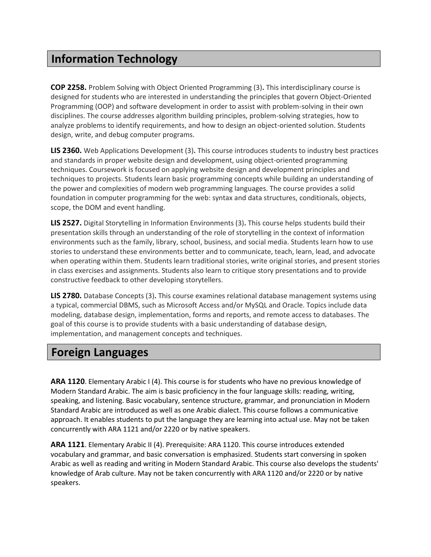## **Information Technology**

**COP 2258.** Problem Solving with Object Oriented Programming (3)**.** This interdisciplinary course is designed for students who are interested in understanding the principles that govern Object-Oriented Programming (OOP) and software development in order to assist with problem-solving in their own disciplines. The course addresses algorithm building principles, problem-solving strategies, how to analyze problems to identify requirements, and how to design an object-oriented solution. Students design, write, and debug computer programs.

**LIS 2360.** Web Applications Development (3)**.** This course introduces students to industry best practices and standards in proper website design and development, using object-oriented programming techniques. Coursework is focused on applying website design and development principles and techniques to projects. Students learn basic programming concepts while building an understanding of the power and complexities of modern web programming languages. The course provides a solid foundation in computer programming for the web: syntax and data structures, conditionals, objects, scope, the DOM and event handling.

**LIS 2527.** Digital Storytelling in Information Environments (3)**.** This course helps students build their presentation skills through an understanding of the role of storytelling in the context of information environments such as the family, library, school, business, and social media. Students learn how to use stories to understand these environments better and to communicate, teach, learn, lead, and advocate when operating within them. Students learn traditional stories, write original stories, and present stories in class exercises and assignments. Students also learn to critique story presentations and to provide constructive feedback to other developing storytellers.

**LIS 2780.** Database Concepts (3)**.** This course examines relational database management systems using a typical, commercial DBMS, such as Microsoft Access and/or MySQL and Oracle. Topics include data modeling, database design, implementation, forms and reports, and remote access to databases. The goal of this course is to provide students with a basic understanding of database design, implementation, and management concepts and techniques.

#### **Foreign Languages**

**ARA 1120**. Elementary Arabic I (4). This course is for students who have no previous knowledge of Modern Standard Arabic. The aim is basic proficiency in the four language skills: reading, writing, speaking, and listening. Basic vocabulary, sentence structure, grammar, and pronunciation in Modern Standard Arabic are introduced as well as one Arabic dialect. This course follows a communicative approach. It enables students to put the language they are learning into actual use. May not be taken concurrently with ARA 1121 and/or 2220 or by native speakers.

**ARA 1121**. Elementary Arabic II (4). Prerequisite: ARA 1120. This course introduces extended vocabulary and grammar, and basic conversation is emphasized. Students start conversing in spoken Arabic as well as reading and writing in Modern Standard Arabic. This course also develops the students' knowledge of Arab culture. May not be taken concurrently with ARA 1120 and/or 2220 or by native speakers.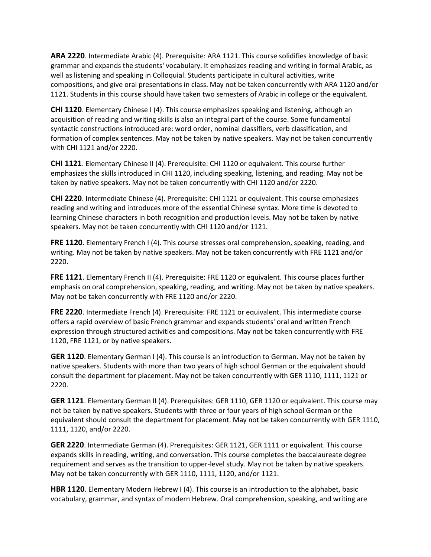**ARA 2220**. Intermediate Arabic (4). Prerequisite: ARA 1121. This course solidifies knowledge of basic grammar and expands the students' vocabulary. It emphasizes reading and writing in formal Arabic, as well as listening and speaking in Colloquial. Students participate in cultural activities, write compositions, and give oral presentations in class. May not be taken concurrently with ARA 1120 and/or 1121. Students in this course should have taken two semesters of Arabic in college or the equivalent.

**CHI 1120**. Elementary Chinese I (4). This course emphasizes speaking and listening, although an acquisition of reading and writing skills is also an integral part of the course. Some fundamental syntactic constructions introduced are: word order, nominal classifiers, verb classification, and formation of complex sentences. May not be taken by native speakers. May not be taken concurrently with CHI 1121 and/or 2220.

**CHI 1121**. Elementary Chinese II (4). Prerequisite: CHI 1120 or equivalent. This course further emphasizes the skills introduced in CHI 1120, including speaking, listening, and reading. May not be taken by native speakers. May not be taken concurrently with CHI 1120 and/or 2220.

**CHI 2220**. Intermediate Chinese (4). Prerequisite: CHI 1121 or equivalent. This course emphasizes reading and writing and introduces more of the essential Chinese syntax. More time is devoted to learning Chinese characters in both recognition and production levels. May not be taken by native speakers. May not be taken concurrently with CHI 1120 and/or 1121.

**FRE 1120**. Elementary French I (4). This course stresses oral comprehension, speaking, reading, and writing. May not be taken by native speakers. May not be taken concurrently with FRE 1121 and/or 2220.

**FRE 1121**. Elementary French II (4). Prerequisite: FRE 1120 or equivalent. This course places further emphasis on oral comprehension, speaking, reading, and writing. May not be taken by native speakers. May not be taken concurrently with FRE 1120 and/or 2220.

**FRE 2220**. Intermediate French (4). Prerequisite: FRE 1121 or equivalent. This intermediate course offers a rapid overview of basic French grammar and expands students' oral and written French expression through structured activities and compositions. May not be taken concurrently with FRE 1120, FRE 1121, or by native speakers.

**GER 1120**. Elementary German I (4). This course is an introduction to German. May not be taken by native speakers. Students with more than two years of high school German or the equivalent should consult the department for placement. May not be taken concurrently with GER 1110, 1111, 1121 or 2220.

**GER 1121**. Elementary German II (4). Prerequisites: GER 1110, GER 1120 or equivalent. This course may not be taken by native speakers. Students with three or four years of high school German or the equivalent should consult the department for placement. May not be taken concurrently with GER 1110, 1111, 1120, and/or 2220.

**GER 2220**. Intermediate German (4). Prerequisites: GER 1121, GER 1111 or equivalent. This course expands skills in reading, writing, and conversation. This course completes the baccalaureate degree requirement and serves as the transition to upper-level study. May not be taken by native speakers. May not be taken concurrently with GER 1110, 1111, 1120, and/or 1121.

**HBR 1120**. Elementary Modern Hebrew I (4). This course is an introduction to the alphabet, basic vocabulary, grammar, and syntax of modern Hebrew. Oral comprehension, speaking, and writing are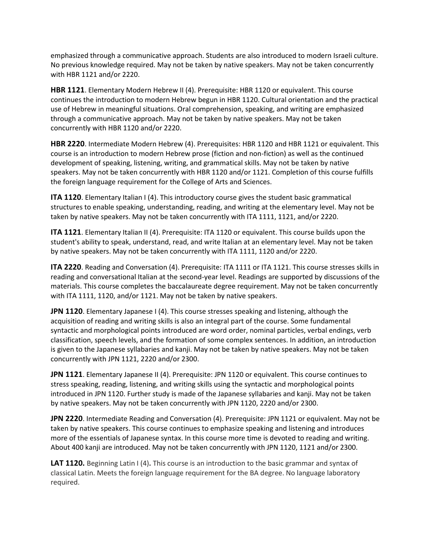emphasized through a communicative approach. Students are also introduced to modern Israeli culture. No previous knowledge required. May not be taken by native speakers. May not be taken concurrently with HBR 1121 and/or 2220.

**HBR 1121**. Elementary Modern Hebrew II (4). Prerequisite: HBR 1120 or equivalent. This course continues the introduction to modern Hebrew begun in HBR 1120. Cultural orientation and the practical use of Hebrew in meaningful situations. Oral comprehension, speaking, and writing are emphasized through a communicative approach. May not be taken by native speakers. May not be taken concurrently with HBR 1120 and/or 2220.

**HBR 2220**. Intermediate Modern Hebrew (4). Prerequisites: HBR 1120 and HBR 1121 or equivalent. This course is an introduction to modern Hebrew prose (fiction and non-fiction) as well as the continued development of speaking, listening, writing, and grammatical skills. May not be taken by native speakers. May not be taken concurrently with HBR 1120 and/or 1121. Completion of this course fulfills the foreign language requirement for the College of Arts and Sciences.

**ITA 1120**. Elementary Italian I (4). This introductory course gives the student basic grammatical structures to enable speaking, understanding, reading, and writing at the elementary level. May not be taken by native speakers. May not be taken concurrently with ITA 1111, 1121, and/or 2220.

**ITA 1121**. Elementary Italian II (4). Prerequisite: ITA 1120 or equivalent. This course builds upon the student's ability to speak, understand, read, and write Italian at an elementary level. May not be taken by native speakers. May not be taken concurrently with ITA 1111, 1120 and/or 2220.

**ITA 2220**. Reading and Conversation (4). Prerequisite: ITA 1111 or ITA 1121. This course stresses skills in reading and conversational Italian at the second-year level. Readings are supported by discussions of the materials. This course completes the baccalaureate degree requirement. May not be taken concurrently with ITA 1111, 1120, and/or 1121. May not be taken by native speakers.

**JPN 1120**. Elementary Japanese I (4). This course stresses speaking and listening, although the acquisition of reading and writing skills is also an integral part of the course. Some fundamental syntactic and morphological points introduced are word order, nominal particles, verbal endings, verb classification, speech levels, and the formation of some complex sentences. In addition, an introduction is given to the Japanese syllabaries and kanji. May not be taken by native speakers. May not be taken concurrently with JPN 1121, 2220 and/or 2300.

**JPN 1121**. Elementary Japanese II (4). Prerequisite: JPN 1120 or equivalent. This course continues to stress speaking, reading, listening, and writing skills using the syntactic and morphological points introduced in JPN 1120. Further study is made of the Japanese syllabaries and kanji. May not be taken by native speakers. May not be taken concurrently with JPN 1120, 2220 and/or 2300.

**JPN 2220**. Intermediate Reading and Conversation (4). Prerequisite: JPN 1121 or equivalent. May not be taken by native speakers. This course continues to emphasize speaking and listening and introduces more of the essentials of Japanese syntax. In this course more time is devoted to reading and writing. About 400 kanji are introduced. May not be taken concurrently with JPN 1120, 1121 and/or 2300.

**LAT 1120.** Beginning Latin I (4)**.** This course is an introduction to the basic grammar and syntax of classical Latin. Meets the foreign language requirement for the BA degree. No language laboratory required.